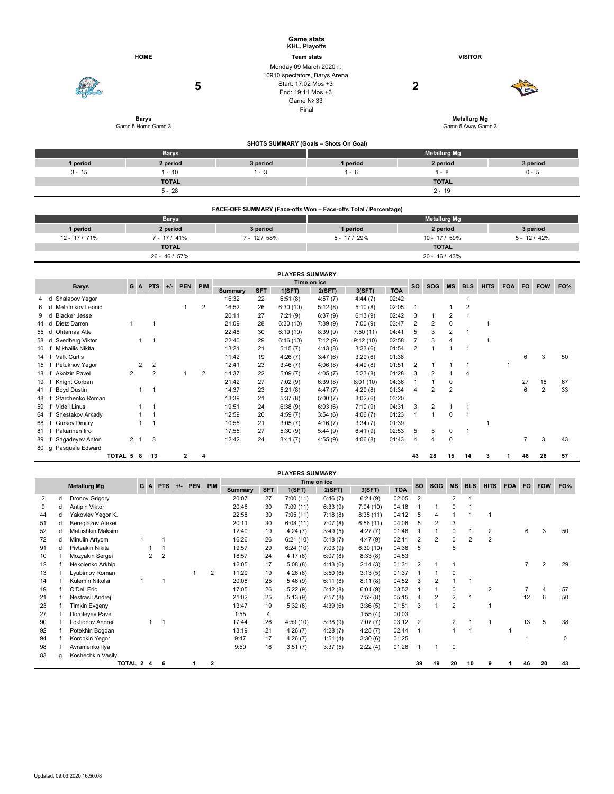|          |                    |                                                                                                                    | <b>Game stats</b><br><b>KHL. Playoffs</b>                       |                     |          |  |  |  |  |  |  |
|----------|--------------------|--------------------------------------------------------------------------------------------------------------------|-----------------------------------------------------------------|---------------------|----------|--|--|--|--|--|--|
|          | <b>HOME</b>        |                                                                                                                    | <b>Team stats</b>                                               | <b>VISITOR</b>      |          |  |  |  |  |  |  |
|          | 5                  | Monday 09 March 2020 r.<br>10910 spectators, Barys Arena<br>Start: 17:02 Mos +3<br>End: 19:11 Mos +3<br>Game Nº 33 | Final                                                           | 2                   |          |  |  |  |  |  |  |
|          | <b>Barys</b>       |                                                                                                                    |                                                                 | <b>Metallurg Mg</b> |          |  |  |  |  |  |  |
|          | Game 5 Home Game 3 |                                                                                                                    |                                                                 | Game 5 Away Game 3  |          |  |  |  |  |  |  |
|          |                    |                                                                                                                    | SHOTS SUMMARY (Goals - Shots On Goal)                           |                     |          |  |  |  |  |  |  |
|          | <b>Barys</b>       |                                                                                                                    |                                                                 | <b>Metallurg Mg</b> |          |  |  |  |  |  |  |
| 1 period | 2 period           | 3 period                                                                                                           | 1 period                                                        | 2 period            | 3 period |  |  |  |  |  |  |
| $3 - 15$ | $1 - 10$           | $1 - 3$                                                                                                            | $1 - 6$                                                         | $1 - 8$             | $0 - 5$  |  |  |  |  |  |  |
|          | <b>TOTAL</b>       |                                                                                                                    |                                                                 | <b>TOTAL</b>        |          |  |  |  |  |  |  |
|          | $5 - 28$           |                                                                                                                    |                                                                 | $2 - 19$            |          |  |  |  |  |  |  |
|          |                    |                                                                                                                    | FACE-OFF SUMMARY (Face-offs Won - Face-offs Total / Percentage) |                     |          |  |  |  |  |  |  |

|               | <b>Barys</b>  |              | <b>Metallurg Mg</b> |               |              |  |  |  |  |  |  |  |
|---------------|---------------|--------------|---------------------|---------------|--------------|--|--|--|--|--|--|--|
| 1 period      | 2 period      | 3 period     | 1 period            | 2 period      | 3 period     |  |  |  |  |  |  |  |
| 12 - 17 / 71% | $7 - 17/41\%$ | $7 - 12/58%$ | $5 - 17/29%$        | $10 - 17/59%$ | $5 - 12/42%$ |  |  |  |  |  |  |  |
|               | <b>TOTAL</b>  |              |                     | <b>TOTAL</b>  |              |  |  |  |  |  |  |  |
|               | 26 - 46 / 57% |              |                     | 20 - 46 / 43% |              |  |  |  |  |  |  |  |

|                                                                | <b>PLAYERS SUMMARY</b>    |         |             |                |  |   |   |         |            |          |         |          |            |            |             |                |                |            |     |    |                |    |
|----------------------------------------------------------------|---------------------------|---------|-------------|----------------|--|---|---|---------|------------|----------|---------|----------|------------|------------|-------------|----------------|----------------|------------|-----|----|----------------|----|
| Time on ice<br>A PTS<br><b>PIM</b><br>G<br><b>PEN</b><br>$+/-$ |                           |         |             |                |  |   |   |         |            |          |         |          |            | <b>BLS</b> | <b>HITS</b> | <b>FOA</b>     | FO.            | <b>FOW</b> | FO% |    |                |    |
| <b>Barys</b>                                                   |                           |         |             |                |  |   |   | Summary | <b>SFT</b> | 1(SFT)   | 2(SFT)  | 3(SFT)   | <b>TOA</b> | <b>SO</b>  | <b>SOG</b>  | <b>MS</b>      |                |            |     |    |                |    |
| 4 d                                                            | Shalapov Yegor            |         |             |                |  |   |   | 16:32   | 22         | 6:51(8)  | 4:57(7) | 4:44(7)  | 02:42      |            |             |                |                |            |     |    |                |    |
|                                                                | Metalnikov Leonid         |         |             |                |  |   | 2 | 16:52   | 26         | 6:30(10) | 5:12(8) | 5:10(8)  | 02:05      |            |             |                | $\overline{2}$ |            |     |    |                |    |
|                                                                | <b>Blacker Jesse</b><br>d |         |             |                |  |   |   | 20:11   | 27         | 7:21(9)  | 6:37(9) | 6:13(9)  | 02:42      | 3          |             |                |                |            |     |    |                |    |
| 44                                                             | Dietz Darren<br>d         |         |             |                |  |   |   | 21:09   | 28         | 6:30(10) | 7:39(9) | 7:00(9)  | 03:47      |            | 2           | 0              |                |            |     |    |                |    |
| 55 d                                                           | Ohtamaa Atte              |         |             |                |  |   |   | 22:48   | 30         | 6:19(10) | 8:39(9) | 7:50(11) | 04:41      | 5          | 3           | 2              |                |            |     |    |                |    |
| 58 d                                                           | Svedberg Viktor           |         |             |                |  |   |   | 22:40   | 29         | 6:16(10) | 7:12(9) | 9:12(10) | 02:58      |            |             |                |                |            |     |    |                |    |
| 10                                                             | Mikhailis Nikita          |         |             |                |  |   |   | 13:21   | 21         | 5:15(7)  | 4:43(8) | 3:23(6)  | 01:54      | 2          |             |                |                |            |     |    |                |    |
| 14                                                             | Valk Curtis               |         |             |                |  |   |   | 11:42   | 19         | 4:26(7)  | 3:47(6) | 3:29(6)  | 01:38      |            |             |                |                |            |     | 6  | 3              | 50 |
| 15                                                             | Petukhov Yegor            |         | 2           | 2              |  |   |   | 12:41   | 23         | 3:46(7)  | 4:06(8) | 4:49(8)  | 01:51      | 2          |             |                |                |            | 1   |    |                |    |
| 18                                                             | Akolzin Pavel             |         | 2           | $\overline{2}$ |  |   | 2 | 14:37   | 22         | 5:09(7)  | 4:05(7) | 5:23(8)  | 01:28      |            |             |                | $\overline{4}$ |            |     |    |                |    |
| 19                                                             | Knight Corban             |         |             |                |  |   |   | 21:42   | 27         | 7:02(9)  | 6:39(8) | 8:01(10) | 04:36      |            |             | 0              |                |            |     | 27 | 18             | 67 |
| 41                                                             | Boyd Dustin               |         |             |                |  |   |   | 14:37   | 23         | 5:21(8)  | 4:47(7) | 4:29(8)  | 01:34      | 4          | 2           | $\overline{2}$ |                |            |     | 6  | $\overline{2}$ | 33 |
| 48                                                             | Starchenko Roman          |         |             |                |  |   |   | 13:39   | 21         | 5:37(8)  | 5:00(7) | 3:02(6)  | 03:20      |            |             |                |                |            |     |    |                |    |
| 59                                                             | <b>Videll Linus</b>       |         |             |                |  |   |   | 19:51   | 24         | 6:38(9)  | 6:03(6) | 7:10(9)  | 04:31      | 3          | 2           |                |                |            |     |    |                |    |
| 64                                                             | Shestakov Arkady          |         |             |                |  |   |   | 12:59   | 20         | 4:59(7)  | 3:54(6) | 4:06(7)  | 01:23      |            |             | $\Omega$       |                |            |     |    |                |    |
| 68                                                             | <b>Gurkov Dmitry</b>      |         |             |                |  |   |   | 10:55   | 21         | 3:05(7)  | 4:16(7) | 3:34(7)  | 01:39      |            |             |                |                |            |     |    |                |    |
| 81                                                             | Pakarinen liro            |         |             |                |  |   |   | 17:55   | 27         | 5:30(9)  | 5:44(9) | 6:41(9)  | 02:53      | 5          | 5           | 0              |                |            |     |    |                |    |
| 89                                                             | Sagadeyev Anton           |         | $2 \quad 1$ | 3              |  |   |   | 12:42   | 24         | 3:41(7)  | 4:55(9) | 4:06(8)  | 01:43      | 4          | 4           | 0              |                |            |     |    | 3              | 43 |
| 80 g                                                           | Pasquale Edward           |         |             |                |  |   |   |         |            |          |         |          |            |            |             |                |                |            |     |    |                |    |
|                                                                |                           | TOTAL 5 | 8           | 13             |  | 2 | 4 |         |            |          |         |          |            | 43         | 28          | 15             | 14             | з          |     | 46 | 26             | 57 |

|                     |   |                      |           |                |                |       |         |              |                |            | <b>PLAYERS SUMMARY</b> |         |          |            |                |                |                |            |                |            |           |            |     |
|---------------------|---|----------------------|-----------|----------------|----------------|-------|---------|--------------|----------------|------------|------------------------|---------|----------|------------|----------------|----------------|----------------|------------|----------------|------------|-----------|------------|-----|
|                     |   |                      |           | G A            | <b>PTS</b>     | $+/-$ | PEN PIM |              | Time on ice    |            |                        |         |          |            |                | <b>SOG</b>     | <b>MS</b>      | <b>BLS</b> | <b>HITS</b>    | <b>FOA</b> | <b>FO</b> | <b>FOW</b> | FO% |
| <b>Metallurg Mg</b> |   |                      |           |                |                |       |         |              | <b>Summary</b> | <b>SFT</b> | 1(SFT)                 | 2(SFT)  | 3(SFT)   | <b>TOA</b> | <b>SO</b>      |                |                |            |                |            |           |            |     |
| 2                   | d | Dronov Grigory       |           |                |                |       |         |              | 20:07          | 27         | 7:00(11)               | 6:46(7) | 6:21(9)  | 02:05      | $\overline{2}$ |                | $\overline{2}$ |            |                |            |           |            |     |
| 9                   | d | Antipin Viktor       |           |                |                |       |         |              | 20:46          | 30         | 7:09(11)               | 6:33(9) | 7:04(10) | 04:18      |                |                | 0              |            |                |            |           |            |     |
| 44                  | d | Yakovlev Yegor K.    |           |                |                |       |         |              | 22:58          | 30         | 7:05(11)               | 7:18(8) | 8:35(11) | 04:12      | 5              | 4              |                |            |                |            |           |            |     |
| 51                  | d | Bereglazov Alexei    |           |                |                |       |         |              | 20:11          | 30         | 6:08(11)               | 7:07(8) | 6:56(11) | 04:06      | 5              | 2              | 3              |            |                |            |           |            |     |
| 52                  | d | Matushkin Maksim     |           |                |                |       |         |              | 12:40          | 19         | 4:24(7)                | 3:49(5) | 4:27(7)  | 01:46      |                |                | 0              |            | 2              |            | 6         | 3          | 50  |
| 72                  | d | Minulin Artyom       |           |                |                |       |         |              | 16:26          | 26         | 6:21(10)               | 5:18(7) | 4:47(9)  | 02:11      | 2              | $\overline{2}$ | $\Omega$       | 2          | $\overline{2}$ |            |           |            |     |
| 91                  | d | Pivtsakin Nikita     |           |                |                |       |         |              | 19:57          | 29         | 6:24(10)               | 7:03(9) | 6:30(10) | 04:36      | 5              |                | 5              |            |                |            |           |            |     |
| 10                  |   | Mozyakin Sergei      |           | $\overline{2}$ | $\overline{2}$ |       |         |              | 18:57          | 24         | 4:17(8)                | 6:07(8) | 8:33(8)  | 04:53      |                |                |                |            |                |            |           |            |     |
| 12                  |   | Nekolenko Arkhip     |           |                |                |       |         |              | 12:05          | 17         | 5:08(8)                | 4:43(6) | 2:14(3)  | 01:31      | 2              |                |                |            |                |            |           | 2          | 29  |
| 13                  |   | Lyubimov Roman       |           |                |                |       |         | 2            | 11:29          | 19         | 4:26(8)                | 3:50(6) | 3:13(5)  | 01:37      |                |                | $\mathbf 0$    |            |                |            |           |            |     |
| 14                  |   | Kulemin Nikolai      |           |                | -1             |       |         |              | 20:08          | 25         | 5:46(9)                | 6:11(8) | 8:11(8)  | 04:52      | 3              | 2              |                |            |                |            |           |            |     |
| 19                  |   | O'Dell Eric          |           |                |                |       |         |              | 17:05          | 26         | 5:22(9)                | 5:42(8) | 6:01(9)  | 03:52      |                |                | $\mathbf 0$    |            | $\overline{2}$ |            | 7         |            | 57  |
| 21                  |   | Nestrasil Andrej     |           |                |                |       |         |              | 21:02          | 25         | 5:13(9)                | 7:57(8) | 7:52(8)  | 05:15      | 4              | $\overline{2}$ | 2              |            |                |            | 12        | 6          | 50  |
| 23                  |   | <b>Timkin Evgeny</b> |           |                |                |       |         |              | 13:47          | 19         | 5:32(8)                | 4:39(6) | 3:36(5)  | 01:51      | 3              |                | 2              |            |                |            |           |            |     |
| 27                  |   | Dorofeyev Pavel      |           |                |                |       |         |              | 1:55           | 4          |                        |         | 1:55(4)  | 00:03      |                |                |                |            |                |            |           |            |     |
| 90                  |   | Loktionov Andrei     |           |                | -1             |       |         |              | 17:44          | 26         | 4:59(10)               | 5:38(9) | 7:07(7)  | 03:12      | 2              |                | 2              |            |                |            | 13        | 5          | 38  |
| 92                  |   | Potekhin Bogdan      |           |                |                |       |         |              | 13:19          | 21         | 4:26(7)                | 4:28(7) | 4:25(7)  | 02:44      |                |                |                |            |                |            |           |            |     |
| 94                  |   | Korobkin Yegor       |           |                |                |       |         |              | 9:47           | 17         | 4:26(7)                | 1:51(4) | 3:30(6)  | 01:25      |                |                |                |            |                |            |           |            | 0   |
| 98                  |   | Avramenko Ilya       |           |                |                |       |         |              | 9:50           | 16         | 3:51(7)                | 3:37(5) | 2:22(4)  | 01:26      |                |                | $\mathbf 0$    |            |                |            |           |            |     |
| 83                  | q | Koshechkin Vasily    |           |                |                |       |         |              |                |            |                        |         |          |            |                |                |                |            |                |            |           |            |     |
|                     |   |                      | TOTAL 2 4 |                | 6              |       |         | $\mathbf{2}$ |                |            |                        |         |          |            | 39             | 19             | 20             | 10         | 9              |            | 46        | 20         | 43  |